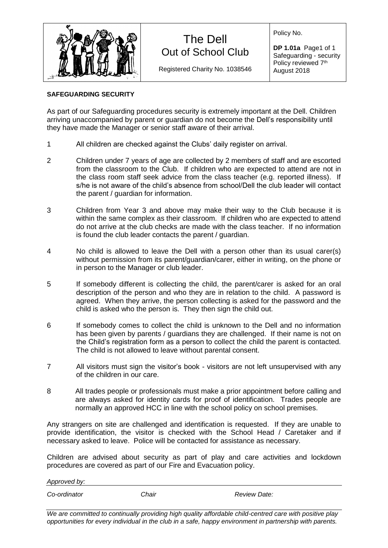

## The Dell Out of School Club

Registered Charity No. 1038546

Policy No.

**DP 1.01a** Page1 of 1 Safeguarding - security Policy reviewed 7<sup>th</sup> August 2018

## **SAFEGUARDING SECURITY**

As part of our Safeguarding procedures security is extremely important at the Dell. Children arriving unaccompanied by parent or guardian do not become the Dell's responsibility until they have made the Manager or senior staff aware of their arrival.

- 1 All children are checked against the Clubs' daily register on arrival.
- 2 Children under 7 years of age are collected by 2 members of staff and are escorted from the classroom to the Club. If children who are expected to attend are not in the class room staff seek advice from the class teacher (e.g. reported illness). If s/he is not aware of the child's absence from school/Dell the club leader will contact the parent / guardian for information.
- 3 Children from Year 3 and above may make their way to the Club because it is within the same complex as their classroom. If children who are expected to attend do not arrive at the club checks are made with the class teacher. If no information is found the club leader contacts the parent / guardian.
- 4 No child is allowed to leave the Dell with a person other than its usual carer(s) without permission from its parent/guardian/carer, either in writing, on the phone or in person to the Manager or club leader.
- 5 If somebody different is collecting the child, the parent/carer is asked for an oral description of the person and who they are in relation to the child. A password is agreed. When they arrive, the person collecting is asked for the password and the child is asked who the person is. They then sign the child out.
- 6 If somebody comes to collect the child is unknown to the Dell and no information has been given by parents / guardians they are challenged. If their name is not on the Child's registration form as a person to collect the child the parent is contacted. The child is not allowed to leave without parental consent.
- 7 All visitors must sign the visitor's book visitors are not left unsupervised with any of the children in our care.
- 8 All trades people or professionals must make a prior appointment before calling and are always asked for identity cards for proof of identification. Trades people are normally an approved HCC in line with the school policy on school premises.

Any strangers on site are challenged and identification is requested. If they are unable to provide identification, the visitor is checked with the School Head / Caretaker and if necessary asked to leave. Police will be contacted for assistance as necessary.

Children are advised about security as part of play and care activities and lockdown procedures are covered as part of our Fire and Evacuation policy.

| Approved by: |       |              |
|--------------|-------|--------------|
| Co-ordinator | Chair | Review Date: |

*We are committed to continually providing high quality affordable child-centred care with positive play opportunities for every individual in the club in a safe, happy environment in partnership with parents.*